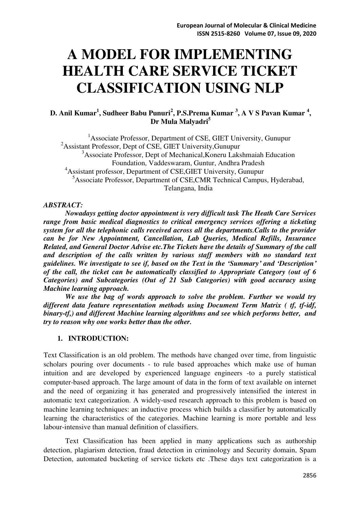# **A MODEL FOR IMPLEMENTING HEALTH CARE SERVICE TICKET CLASSIFICATION USING NLP**

# **D. Anil Kumar<sup>1</sup> , Sudheer Babu Punuri<sup>2</sup> , P.S.Prema Kumar <sup>3</sup> , A V S Pavan Kumar <sup>4</sup> , Dr Mula Malyadri<sup>5</sup>**

<sup>1</sup>Associate Professor, Department of CSE, GIET University, Gunupur <sup>2</sup>Assistant Professor, Dept of CSE, GIET University, Gunupur <sup>3</sup>Associate Professor, Dept of Mechanical,Koneru Lakshmaiah Education Foundation, Vaddeswaram, Guntur, Andhra Pradesh <sup>4</sup>Assistant professor, Department of CSE,GIET University, Gunupur <sup>5</sup>Associate Professor, Department of CSE, CMR Technical Campus, Hyderabad, Telangana, India

#### *ABSTRACT:*

*Nowadays getting doctor appointment is very difficult task The Heath Care Services range from basic medical diagnostics to critical emergency services offering a ticketing system for all the telephonic calls received across all the departments.Calls to the provider can be for New Appointment, Cancellation, Lab Queries, Medical Refills, Insurance Related, and General Doctor Advise etc.The Tickets have the details of Summary of the call and description of the calls written by various staff members with no standard text guidelines. We investigate to see if, based on the Text in the 'Summary' and 'Description' of the call, the ticket can be automatically classified to Appropriate Category (out of 6 Categories) and Subcategories (Out of 21 Sub Categories) with good accuracy using Machine learning approach.* 

*We use the bag of words approach to solve the problem. Further we would try different data feature representation methods using Document Term Matrix ( tf, tf-idf, binary-tf,) and different Machine learning algorithms and see which performs better, and try to reason why one works better than the other.* 

#### **1. INTRODUCTION:**

Text Classification is an old problem. The methods have changed over time, from linguistic scholars pouring over documents - to rule based approaches which make use of human intuition and are developed by experienced language engineers -to a purely statistical computer-based approach. The large amount of data in the form of text available on internet and the need of organizing it has generated and progressively intensified the interest in automatic text categorization. A widely-used research approach to this problem is based on machine learning techniques: an inductive process which builds a classifier by automatically learning the characteristics of the categories. Machine learning is more portable and less labour-intensive than manual definition of classifiers.

Text Classification has been applied in many applications such as authorship detection, plagiarism detection, fraud detection in criminology and Security domain, Spam Detection, automated bucketing of service tickets etc .These days text categorization is a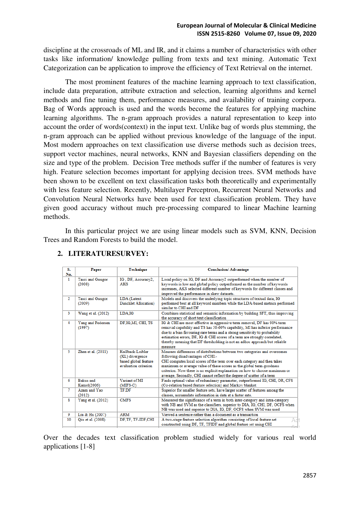discipline at the crossroads of ML and IR, and it claims a number of characteristics with other tasks like information/ knowledge pulling from texts and text mining. Automatic Text Categorization can be application to improve the efficiency of Text Retrieval on the internet.

The most prominent features of the machine learning approach to text classification, include data preparation, attribute extraction and selection, learning algorithms and kernel methods and fine tuning them, performance measures, and availability of training corpora. Bag of Words approach is used and the words become the features for applying machine learning algorithms. The n-gram approach provides a natural representation to keep into account the order of words(context) in the input text. Unlike bag of words plus stemming, the n-gram approach can be applied without previous knowledge of the language of the input. Most modern approaches on text classification use diverse methods such as decision trees, support vector machines, neural networks, KNN and Bayesian classifiers depending on the size and type of the problem. Decision Tree methods suffer if the number of features is very high. Feature selection becomes important for applying decision trees. SVM methods have been shown to be excellent on text classification tasks both theoretically and experimentally with less feature selection. Recently, Multilayer Perceptron, Recurrent Neural Networks and Convolution Neural Networks have been used for text classification problem. They have given good accuracy without much pre-processing compared to linear Machine learning methods.

 In this particular project we are using linear models such as SVM, KNN, Decision Trees and Random Forests to build the model.

| S.             | Paper                           | Technique                                    | <b>Conclusion/Advantage</b>                                                                                                                                                                                                                                                                                                                                                                                 |
|----------------|---------------------------------|----------------------------------------------|-------------------------------------------------------------------------------------------------------------------------------------------------------------------------------------------------------------------------------------------------------------------------------------------------------------------------------------------------------------------------------------------------------------|
| No.            |                                 |                                              |                                                                                                                                                                                                                                                                                                                                                                                                             |
| 1.             | Tasci and Gungor<br>(2008)      | IG, DF, Accuracy2,<br><b>AKS</b>             | Local policy on IG, DF and Accuracy2 outperformed when the number of<br>keywords is low and global policy outperformed as the number of keywords<br>increases, AKS selected different number of keywords for different classes and<br>improved the performance in skew datasets.                                                                                                                            |
|                |                                 |                                              |                                                                                                                                                                                                                                                                                                                                                                                                             |
| $\overline{2}$ | Tasci and Gungor<br>(2009)      | LDA (Latent<br>Dirichlet Allocation)         | Models and discovers the underlying topic structures of textual data, IG<br>performed best at all keyword numbers while the LDA-based metrics performed<br>similar to CHI and DF                                                                                                                                                                                                                            |
| 3              | Wang et al. (2012)              | LDA.IG                                       | Combines statistical and semantic information by building SFT, thus improving<br>the accuracy of short text classification                                                                                                                                                                                                                                                                                  |
| 4              | Yang and Pedersen<br>(1997)     | DF, IG, MI, CHI, TS                          | IG & CHI are most effective in aggressive term removal, DF has 90% term<br>removal capability and TS has 50-60% capability, MI has inferior performance<br>due to a bias favouring rare terms and a strong sensitivity to probability<br>estimation errors, DF, IG & CHI scores of a term are strongly correlated,<br>thereby meaning that DF thresholding is not an adhoc approach but reliable<br>measure |
| 5              | Zhen et al. (2011)              | Kullback-Leibler                             | Measure differences of distributions between two categories and overcomes                                                                                                                                                                                                                                                                                                                                   |
|                |                                 | (KL) divergence                              | following disadvantages of CHI:-                                                                                                                                                                                                                                                                                                                                                                            |
|                |                                 | based global feature<br>evaluation criterion | CHI computes local scores of the term over each category and then takes<br>maximum or average value of these scores as the global term-goodness<br>criterion. Now there is no explicit explanation on how to choose maximum or<br>average, Secondly, CHI cannot reflect the degree of scatter of a term                                                                                                     |
| 6              | <b>Bakus</b> and<br>Kamel(2006) | Variant of MI<br>$(MIFS-C)$                  | Finds optimal value of redundancy parameter, outperformed IG, CHI, OR, CFS<br>(Co-relation based feature selection) and Markov blanket                                                                                                                                                                                                                                                                      |
| 7              | Azam and Yao<br>(2012)          | TF.DF                                        | Superior for smaller feature sets, have larger scatter of features among the<br>classes, accumulate information in data at a faster rate.                                                                                                                                                                                                                                                                   |
| 8              | Yang et al. (2012)              | <b>CMFS</b>                                  | Measured the significance of a term in both inter-category and intra-category<br>with NB and SVM as the classifiers, superior to DIA, IG, CHI, DF, OCFS when<br>NB was used and superior to DIA, IG, DF, OCFS when SVM was used                                                                                                                                                                             |
| 9              | Liu & Hu (2007)                 | <b>ARM</b>                                   | Viewed a sentence rather than a document as a transaction                                                                                                                                                                                                                                                                                                                                                   |
| 10             | Qiu et al. (2008)               | DF, TF, TF-IDF, CHI                          | A two-stage feature selection algorithm consisting of local feature set<br>constructed using DF, TF, TFIDF and global feature set using CHI                                                                                                                                                                                                                                                                 |

# **2. LITERATURESURVEY:**

Over the decades text classification problem studied widely for various real world applications [1-8]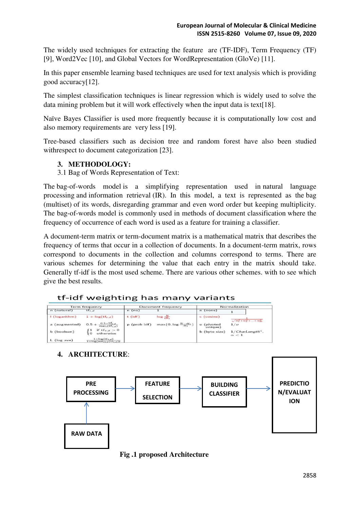The widely used techniques for extracting the feature are (TF-IDF), Term Frequency (TF) [9], Word2Vec [10], and Global Vectors for WordRepresentation (GloVe) [11].

In this paper ensemble learning based techniques are used for text analysis which is providing good accuracy[12].

The simplest classification techniques is linear regression which is widely used to solve the data mining problem but it will work effectively when the input data is text[18].

Naïve Bayes Classifier is used more frequently because it is computationally low cost and also memory requirements are very less [19].

Tree-based classifiers such as decision tree and random forest have also been studied withrespect to document categorization [23].

# **3. METHODOLOGY:**

3.1 Bag of Words Representation of Text:

The bag-of-words model is a simplifying representation used in natural language processing and information retrieval (IR). In this model, a text is represented as the bag (multiset) of its words, disregarding grammar and even word order but keeping multiplicity. The bag-of-words model is commonly used in methods of document classification where the frequency of occurrence of each word is used as a feature for training a classifier.

A document-term matrix or term-document matrix is a mathematical matrix that describes the frequency of terms that occur in a collection of documents. In a document-term matrix, rows correspond to documents in the collection and columns correspond to terms. There are various schemes for determining the value that each entry in the matrix should take. Generally tf-idf is the most used scheme. There are various other schemes. with to see which give the best results.

| tf-idf weighting has many variants |  |  |
|------------------------------------|--|--|
|------------------------------------|--|--|

|               | <b>Term frequency</b>                                                |                          | Document frequency                                        |                       | Normalization                             |
|---------------|----------------------------------------------------------------------|--------------------------|-----------------------------------------------------------|-----------------------|-------------------------------------------|
| n (natural)   | $tf_{\tau,d}$                                                        | $n$ (no)                 |                                                           | $n$ (none)            |                                           |
| I (logarithm) | $1 + \log(\text{tf}_{r,d})$                                          | $t$ (idf)                | $log \frac{N}{df}$                                        | $c$ (cosine)          | $\sqrt{w_1^2 + w_2^2 + \ldots + w_N^2}$   |
| a (augmented) | $0.5 + \frac{0.5 \times \text{tf}_{t,d}}{\max_{t}(\text{tf}_{t,d})}$ | $p$ (prob $\text{id}f$ ) | $\max\{0, \log \frac{N - \mathrm{df}_t}{\mathrm{df}_t}\}$ | u (pivoted<br>unique) | 1/u                                       |
| b (boolean)   | if $\text{tf}_{r,d} > 0$<br>otherwise<br>$\circ$                     |                          |                                                           | b (byte size)         | $1/CharLength^{\alpha}$ .<br>$\alpha < 1$ |
| $L$ (log ave) | $1 + \log(t f_{t,d})$<br>$1 + log(ave_{e-d}(tf_{e-d}))$              |                          |                                                           |                       |                                           |

**4. ARCHITECTURE**:



 **Fig .1 proposed Architecture**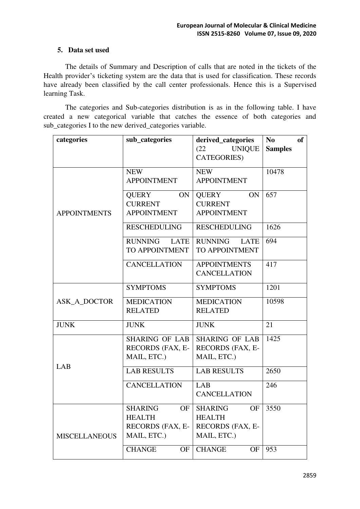# **5. Data set used**

The details of Summary and Description of calls that are noted in the tickets of the Health provider's ticketing system are the data that is used for classification. These records have already been classified by the call center professionals. Hence this is a Supervised learning Task.

The categories and Sub-categories distribution is as in the following table. I have created a new categorical variable that catches the essence of both categories and sub\_categories I to the new derived\_categories variable.

| categories           | sub_categories         | derived_categories            | N <sub>0</sub><br>of |
|----------------------|------------------------|-------------------------------|----------------------|
|                      |                        | (22)<br><b>UNIQUE</b>         | <b>Samples</b>       |
|                      |                        | CATEGORIES)                   |                      |
|                      | <b>NEW</b>             | <b>NEW</b>                    | 10478                |
|                      | <b>APPOINTMENT</b>     | <b>APPOINTMENT</b>            |                      |
|                      | QUERY<br>ON            | QUERY<br>ON                   | 657                  |
|                      | <b>CURRENT</b>         | <b>CURRENT</b>                |                      |
| <b>APPOINTMENTS</b>  | <b>APPOINTMENT</b>     | <b>APPOINTMENT</b>            |                      |
|                      | <b>RESCHEDULING</b>    | <b>RESCHEDULING</b>           | 1626                 |
|                      | <b>RUNNING</b><br>LATE | <b>RUNNING</b><br><b>LATE</b> | 694                  |
|                      | TO APPOINTMENT         | TO APPOINTMENT                |                      |
|                      | <b>CANCELLATION</b>    | <b>APPOINTMENTS</b>           | 417                  |
|                      |                        | <b>CANCELLATION</b>           |                      |
|                      | <b>SYMPTOMS</b>        | <b>SYMPTOMS</b>               | 1201                 |
| <b>ASK A DOCTOR</b>  | <b>MEDICATION</b>      | <b>MEDICATION</b>             | 10598                |
|                      | <b>RELATED</b>         | <b>RELATED</b>                |                      |
| <b>JUNK</b>          | <b>JUNK</b>            | <b>JUNK</b>                   | 21                   |
|                      | <b>SHARING OF LAB</b>  | <b>SHARING OF LAB</b>         | 1425                 |
|                      | RECORDS (FAX, E-       | RECORDS (FAX, E-              |                      |
| LAB                  | MAIL, ETC.)            | MAIL, ETC.)                   |                      |
|                      | <b>LAB RESULTS</b>     | <b>LAB RESULTS</b>            | 2650                 |
|                      | <b>CANCELLATION</b>    | LAB                           | 246                  |
|                      |                        | <b>CANCELLATION</b>           |                      |
|                      | <b>SHARING</b><br>OF   | <b>SHARING</b><br>OF          | 3550                 |
|                      | <b>HEALTH</b>          | <b>HEALTH</b>                 |                      |
|                      | RECORDS (FAX, E-       | RECORDS (FAX, E-              |                      |
| <b>MISCELLANEOUS</b> | MAIL, ETC.)            | MAIL, ETC.)                   |                      |
|                      | <b>CHANGE</b><br>OF    | <b>CHANGE</b><br><b>OF</b>    | 953                  |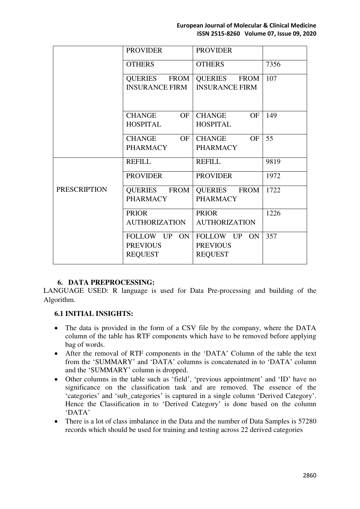|                     | <b>PROVIDER</b>                                   | <b>PROVIDER</b>                                   |      |
|---------------------|---------------------------------------------------|---------------------------------------------------|------|
|                     | <b>OTHERS</b>                                     | <b>OTHERS</b>                                     | 7356 |
|                     | QUERIES FROM<br><b>INSURANCE FIRM</b>             | QUERIES FROM<br><b>INSURANCE FIRM</b>             | 107  |
|                     | OF  <br><b>CHANGE</b><br>HOSPITAL                 | <b>CHANGE</b><br>OF<br><b>HOSPITAL</b>            | 149  |
|                     | CHANGE OF<br>PHARMACY                             | CHANGE<br>OF<br><b>PHARMACY</b>                   | 55   |
|                     | <b>REFILL</b>                                     | <b>REFILL</b>                                     | 9819 |
|                     | <b>PROVIDER</b>                                   | <b>PROVIDER</b>                                   | 1972 |
| <b>PRESCRIPTION</b> | QUERIES FROM<br><b>PHARMACY</b>                   | QUERIES FROM<br><b>PHARMACY</b>                   | 1722 |
|                     | <b>PRIOR</b><br><b>AUTHORIZATION</b>              | <b>PRIOR</b><br><b>AUTHORIZATION</b>              | 1226 |
|                     | FOLLOW UP ON<br><b>PREVIOUS</b><br><b>REQUEST</b> | FOLLOW UP ON<br><b>PREVIOUS</b><br><b>REQUEST</b> | 357  |

#### **6. DATA PREPROCESSING:**

LANGUAGE USED: R language is used for Data Pre-processing and building of the Algorithm.

#### **6.1 INITIAL INSIGHTS:**

- The data is provided in the form of a CSV file by the company, where the DATA column of the table has RTF components which have to be removed before applying bag of words.
- After the removal of RTF components in the 'DATA' Column of the table the text from the 'SUMMARY' and 'DATA' columns is concatenated in to 'DATA' column and the 'SUMMARY' column is dropped.
- Other columns in the table such as 'field', 'previous appointment' and 'ID' have no significance on the classification task and are removed. The essence of the 'categories' and 'sub\_categories' is captured in a single column 'Derived Category'. Hence the Classification in to 'Derived Category' is done based on the column 'DATA'
- There is a lot of class imbalance in the Data and the number of Data Samples is 57280 records which should be used for training and testing across 22 derived categories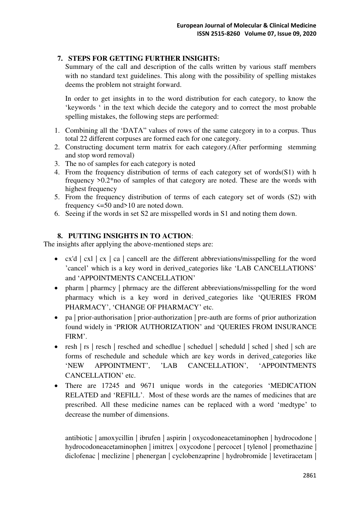# **7. STEPS FOR GETTING FURTHER INSIGHTS:**

Summary of the call and description of the calls written by various staff members with no standard text guidelines. This along with the possibility of spelling mistakes deems the problem not straight forward.

In order to get insights in to the word distribution for each category, to know the 'keywords ' in the text which decide the category and to correct the most probable spelling mistakes, the following steps are performed:

- 1. Combining all the 'DATA" values of rows of the same category in to a corpus. Thus total 22 different corpuses are formed each for one category.
- 2. Constructing document term matrix for each category.(After performing stemming and stop word removal)
- 3. The no of samples for each category is noted
- 4. From the frequency distribution of terms of each category set of words(S1) with h frequency >0.2\*no of samples of that category are noted. These are the words with highest frequency
- 5. From the frequency distribution of terms of each category set of words (S2) with frequency <=50 and>10 are noted down.
- 6. Seeing if the words in set S2 are misspelled words in S1 and noting them down.

# **8. PUTTING INSIGHTS IN TO ACTION**:

The insights after applying the above-mentioned steps are:

- $cx'd \mid cx \mid ca \mid cancell$  are the different abbreviations/misspelling for the word 'cancel' which is a key word in derived\_categories like 'LAB CANCELLATIONS' and 'APPOINTMENTS CANCELLATION'
- pharm | pharmcy | phrmacy are the different abbreviations/misspelling for the word pharmacy which is a key word in derived\_categories like 'QUERIES FROM PHARMACY', 'CHANGE OF PHARMACY' etc.
- pa | prior-authorisation | prior-authorization | pre-auth are forms of prior authorization found widely in 'PRIOR AUTHORIZATION' and 'QUERIES FROM INSURANCE FIRM'.
- resh | rs | resch | resched and schedlue | scheduel | scheduld | sched | shed | sched | sched forms of reschedule and schedule which are key words in derived\_categories like 'NEW APPOINTMENT', 'LAB CANCELLATION', 'APPOINTMENTS CANCELLATION' etc.
- There are 17245 and 9671 unique words in the categories 'MEDICATION RELATED and 'REFILL'. Most of these words are the names of medicines that are prescribed. All these medicine names can be replaced with a word 'medtype' to decrease the number of dimensions.

antibiotic | amoxycillin | ibrufen | aspirin | oxycodoneacetaminophen | hydrocodone | hydrocodoneacetaminophen | imitrex | oxycodone | percocet | tylenol | promethazine | diclofenac | meclizine | phenergan | cyclobenzaprine | hydrobromide | levetiracetam |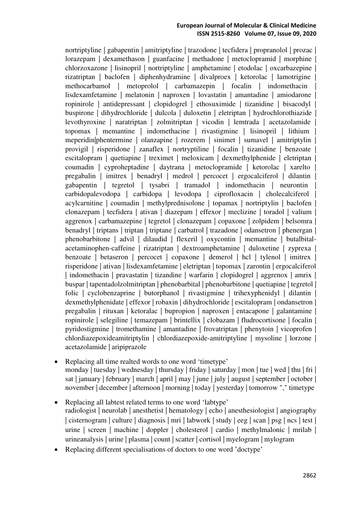#### **European Journal of Molecular & Clinical Medicine ISSN 2515-8260 Volume 07, Issue 09, 2020**

nortriptyline | gabapentin | amitriptyline | trazodone | tecfidera | propranolol | prozac | lorazepam | dexamethason | guanfacine | methadone | metoclopramid | morphine | chlorzoxazone | lisinopril | nortriptyline | amphetamine | etodolac | oxcarbazepine | rizatriptan | baclofen | diphenhydramine | divalproex | ketorolac | lamotrigine | methocarbamol | metoprolol | carbamazepin | focalin | indomethacin | lisdexamfetamine | melatonin | naproxen | lovastatin | amantadine | amiodarone | ropinirole | antidepressant | clopidogrel | ethosuximide | tizanidine | bisacodyl | buspirone | dihydrochloride | dulcola | duloxetin | eletriptan | hydrochlorothiazide | levothyroxine | naratriptan | zolmitriptan | vicodin | lemtrada | acetazolamide | topomax | memantine | indomethacine | rivastigmine | lisinopril | lithium | meperidin|phentermine | olanzapine | rozerem | sinimet | sumavel | amitriptylin | provigil | risperidone | zanaflex | nortryptiline | focalin | tizanidine | benzoate | escitalopram | quetiapine | treximet | meloxicam | dexmethylphenide | eletriptan | coumadin | cyproheptadine | daytrana | metoclopramide | ketorolac | xarelto | pregabalin | imitrex | benadryl | medrol | percocet | ergocalciferol | dilantin | gabapentin | tegretol | tysabri | tramadol | indomethacin | neurontin | carbidopalevodopa | carbidopa | levodopa | ciprofloxacin | cholecalciferol | acylcarnitine | coumadin | methylprednisolone | topamax | nortriptylin | baclofen | clonazepam | tecfidera | ativan | diazepam | effexor | meclizine | toradol | valium | aggrenox | carbamazepine | tegretol | clonazepam | copaxone | zolpidem | belsomra | benadryl | triptans | triptan | triptane | carbatrol | trazadone | odansetron | phenergan | phenobarbitone | advil | dilaudid | flexeril | oxycontin | memantine | butalbitalacetaminophen-caffeine | rizatriptan | dextroamphetamine | duloxetine | zyprexa | benzoate | betaseron | percocet | copaxone | demerol | hcl | tylenol | imitrex | risperidone | ativan | lisdexamfetamine | eletriptan | topomax | zarontin | ergocalciferol | indomethacin | pravastatin | tizandine | warfarin | clopidogrel | aggrenox | amrix | buspar | tapentadolzolmitriptan | phenobarbital | phenobarbitone | quetiapine | tegretol | folic | cyclobenzaprine | butorphanol | rivastigmine | trihexyphenidyl | dilantin | dexmethylphenidate | effexor | robaxin | dihydrochloride | escitalopram | ondansetron | pregabalin | rituxan | ketoralac | bupropion | naproxen | entacapone | galantamine | ropinirole | selegiline | temazepam | brintellix | clobazam | fludrocortisone | focalin | pyridostigmine | tromethamine | amantadine | frovatriptan | phenytoin | vicoprofen | chlordiazepoxideamitriptylin | chlordiazepoxide-amitriptyline | mysoline | lorzone | acetazolamide | aripiprazole

- Replacing all time realted words to one word 'timetype' monday | tuesday | wednesday | thursday | friday | saturday | mon | tue | wed | thu | fri | sat | january | february | march | april | may | june | july | august | september | october | november | december | afternoon | morning | today | yesterday | tomorrow "," timetype
- Replacing all labtest related terms to one word 'labtype' radiologist | neurolab | anesthetist | hematology | echo | anesthesiologist | angiography | cisternogram | culture | diagnosis | mri | labwork | study | eeg | scan | psg | ncs | test | urine | screen | machine | doppler | cholesterol | cardio | methylmalonic | mrilab | urineanalysis | urine | plasma | count | scatter | cortisol | myelogram | mylogram
- Replacing different specialisations of doctors to one word 'doctype'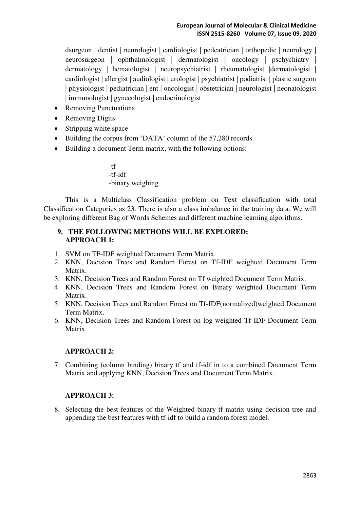dsurgeon | dentist | neurologist | cardiologist | pedeatrician | orthopedic | neurology | neurosurgeon | ophthalmologist | dermatologist | oncology | pschychiatry | dermatology | hematologist | neuropsychiatrist | rheumatologist |dermatologist | cardiologist | allergist | audiologist | urologist | psychiatrist | podiatrist | plastic surgeon | physiologist | pediatrician | ent | oncologist | obstetrician | neurologist | neonatologist | immunologist | gynecologist | endocrinologist

- Removing Punctuations
- Removing Digits
- Stripping white space
- Building the corpus from 'DATA' column of the 57,280 records
- Building a document Term matrix, with the following options:

-tf -tf-idf -binary weighing

This is a Multiclass Classification problem on Text classification with total Classification Categories as 23. There is also a class imbalance in the training data. We will be exploring different Bag of Words Schemes and different machine learning algorithms.

# **9. THE FOLLOWING METHODS WILL BE EXPLORED: APPROACH 1:**

- 1. SVM on TF-IDF weighted Document Term Matrix.
- 2. KNN, Decision Trees and Random Forest on Tf-IDF weighted Document Term Matrix.
- 3. KNN, Decision Trees and Random Forest on Tf weighted Document Term Matrix.
- 4. KNN, Decision Trees and Random Forest on Binary weighted Document Term Matrix.
- 5. KNN, Decision Trees and Random Forest on Tf-IDF(normalized)weighted Document Term Matrix.
- 6. KNN, Decision Trees and Random Forest on log weighted Tf-IDF Document Term Matrix.

#### **APPROACH 2:**

7. Combining (column binding) binary tf and tf-idf in to a combined Document Term Matrix and applying KNN, Decision Trees and Document Term Matrix.

#### **APPROACH 3:**

8. Selecting the best features of the Weighted binary tf matrix using decision tree and appending the best features with tf-idf to build a random forest model.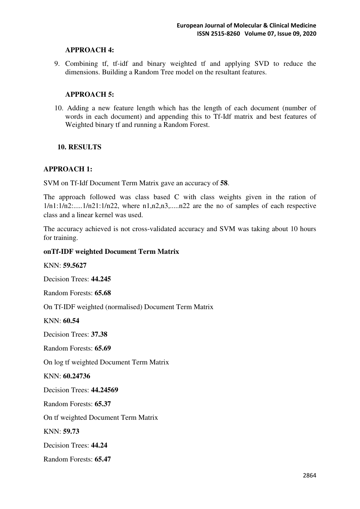#### **APPROACH 4:**

9. Combining tf, tf-idf and binary weighted tf and applying SVD to reduce the dimensions. Building a Random Tree model on the resultant features.

#### **APPROACH 5:**

10. Adding a new feature length which has the length of each document (number of words in each document) and appending this to Tf-Idf matrix and best features of Weighted binary tf and running a Random Forest.

# **10. RESULTS**

#### **APPROACH 1:**

SVM on Tf-Idf Document Term Matrix gave an accuracy of **58**.

The approach followed was class based C with class weights given in the ration of  $1/n1:1/n2:...1/n21:1/n22$ , where  $n1,n2,n3...n22$  are the no of samples of each respective class and a linear kernel was used.

The accuracy achieved is not cross-validated accuracy and SVM was taking about 10 hours for training.

#### **onTf-IDF weighted Document Term Matrix**

KNN: **59.5627** 

Decision Trees: **44.245**

Random Forests: **65.68** 

On Tf-IDF weighted (normalised) Document Term Matrix

KNN: **60.54** 

Decision Trees: **37.38**

Random Forests: **65.69** 

On log tf weighted Document Term Matrix

KNN: **60.24736**

Decision Trees: **44.24569**

Random Forests: **65.37** 

On tf weighted Document Term Matrix

KNN: **59.73** 

Decision Trees: **44.24** 

Random Forests: **65.47**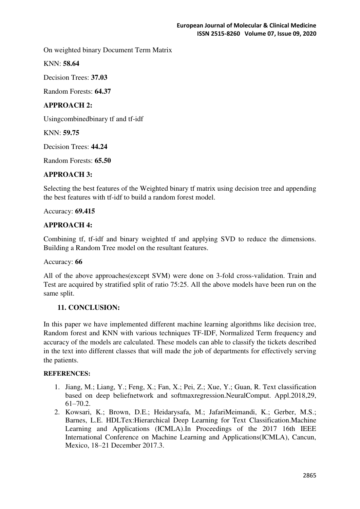On weighted binary Document Term Matrix

KNN: **58.64**

Decision Trees: **37.03**

Random Forests: **64.37** 

# **APPROACH 2:**

Usingcombinedbinary tf and tf-idf

KNN: **59.75**

Decision Trees: **44.24**

Random Forests: **65.50**

# **APPROACH 3:**

Selecting the best features of the Weighted binary tf matrix using decision tree and appending the best features with tf-idf to build a random forest model.

Accuracy: **69.415** 

# **APPROACH 4:**

Combining tf, tf-idf and binary weighted tf and applying SVD to reduce the dimensions. Building a Random Tree model on the resultant features.

#### Accuracy: **66**

All of the above approaches(except SVM) were done on 3-fold cross-validation. Train and Test are acquired by stratified split of ratio 75:25. All the above models have been run on the same split.

# **11. CONCLUSION:**

In this paper we have implemented different machine learning algorithms like decision tree, Random forest and KNN with various techniques TF-IDF, Normalized Term frequency and accuracy of the models are calculated. These models can able to classify the tickets described in the text into different classes that will made the job of departments for effectively serving the patients.

#### **REFERENCES:**

- 1. Jiang, M.; Liang, Y.; Feng, X.; Fan, X.; Pei, Z.; Xue, Y.; Guan, R. Text classification based on deep beliefnetwork and softmaxregression.NeuralComput. Appl.2018,29, 61–70.2.
- 2. Kowsari, K.; Brown, D.E.; Heidarysafa, M.; JafariMeimandi, K.; Gerber, M.S.; Barnes, L.E. HDLTex:Hierarchical Deep Learning for Text Classification.Machine Learning and Applications (ICMLA).In Proceedings of the 2017 16th IEEE International Conference on Machine Learning and Applications(ICMLA), Cancun, Mexico, 18–21 December 2017.3.